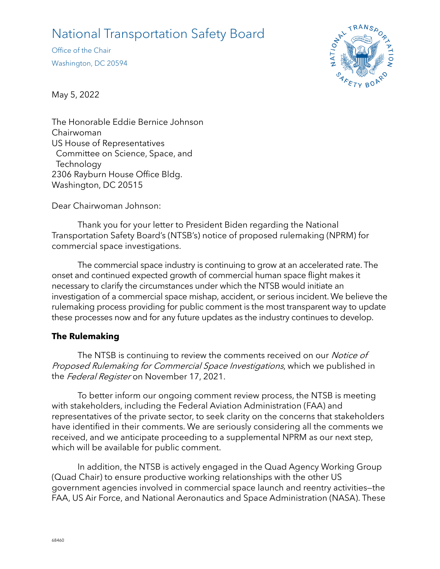# National Transportation Safety Board

Office of the Chair Washington, DC 20594



May 5, 2022

The Honorable Eddie Bernice Johnson Chairwoman US House of Representatives Committee on Science, Space, and **Technology** 2306 Rayburn House Office Bldg. Washington, DC 20515

Dear Chairwoman Johnson:

Thank you for your letter to President Biden regarding the National Transportation Safety Board's (NTSB's) notice of proposed rulemaking (NPRM) for commercial space investigations.

The commercial space industry is continuing to grow at an accelerated rate. The onset and continued expected growth of commercial human space flight makes it necessary to clarify the circumstances under which the NTSB would initiate an investigation of a commercial space mishap, accident, or serious incident. We believe the rulemaking process providing for public comment is the most transparent way to update these processes now and for any future updates as the industry continues to develop.

## **The Rulemaking**

The NTSB is continuing to review the comments received on our Notice of Proposed Rulemaking for Commercial Space Investigations, which we published in the Federal Register on November 17, 2021.

To better inform our ongoing comment review process, the NTSB is meeting with stakeholders, including the Federal Aviation Administration (FAA) and representatives of the private sector, to seek clarity on the concerns that stakeholders have identified in their comments. We are seriously considering all the comments we received, and we anticipate proceeding to a supplemental NPRM as our next step, which will be available for public comment.

In addition, the NTSB is actively engaged in the Quad Agency Working Group (Quad Chair) to ensure productive working relationships with the other US government agencies involved in commercial space launch and reentry activities—the FAA, US Air Force, and National Aeronautics and Space Administration (NASA). These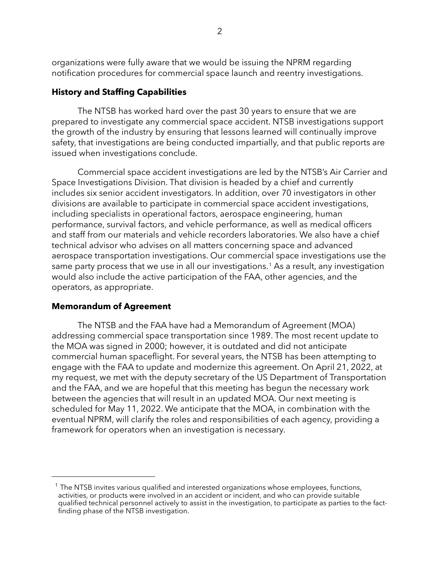organizations were fully aware that we would be issuing the NPRM regarding notification procedures for commercial space launch and reentry investigations.

### **History and Staffing Capabilities**

The NTSB has worked hard over the past 30 years to ensure that we are prepared to investigate any commercial space accident. NTSB investigations support the growth of the industry by ensuring that lessons learned will continually improve safety, that investigations are being conducted impartially, and that public reports are issued when investigations conclude.

Commercial space accident investigations are led by the NTSB's Air Carrier and Space Investigations Division. That division is headed by a chief and currently includes six senior accident investigators. In addition, over 70 investigators in other divisions are available to participate in commercial space accident investigations, including specialists in operational factors, aerospace engineering, human performance, survival factors, and vehicle performance, as well as medical officers and staff from our materials and vehicle recorders laboratories. We also have a chief technical advisor who advises on all matters concerning space and advanced aerospace transportation investigations. Our commercial space investigations use the same party process that we use in all our investigations.<sup>[1](#page-1-0)</sup> As a result, any investigation would also include the active participation of the FAA, other agencies, and the operators, as appropriate.

#### **Memorandum of Agreement**

The NTSB and the FAA have had a Memorandum of Agreement (MOA) addressing commercial space transportation since 1989. The most recent update to the MOA was signed in 2000; however, it is outdated and did not anticipate commercial human spaceflight. For several years, the NTSB has been attempting to engage with the FAA to update and modernize this agreement. On April 21, 2022, at my request, we met with the deputy secretary of the US Department of Transportation and the FAA, and we are hopeful that this meeting has begun the necessary work between the agencies that will result in an updated MOA. Our next meeting is scheduled for May 11, 2022. We anticipate that the MOA, in combination with the eventual NPRM, will clarify the roles and responsibilities of each agency, providing a framework for operators when an investigation is necessary.

<span id="page-1-0"></span> $1$  The NTSB invites various qualified and interested organizations whose employees, functions, activities, or products were involved in an accident or incident, and who can provide suitable qualified technical personnel actively to assist in the investigation, to participate as parties to the factfinding phase of the NTSB investigation.